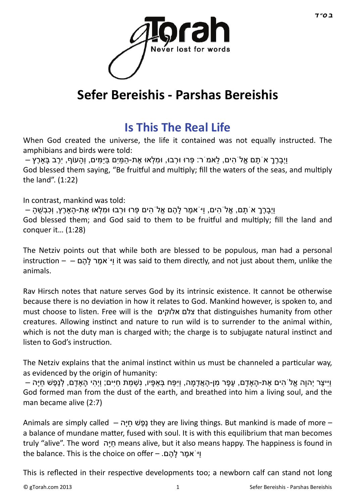

# **Sefer Bereishis - Parshas Bereishis**

### **[Is This The Real Life](http://gtorah.com/2013/06/07/is-this-the-real-life/)**

When God created the universe, the life it contained was not equally instructed. The amphibians and birds were told:

ּ וַיְבַרְרָ א´תָם אֱלֹ`הִים, לֹאמֹ`ר: פְּרוּ וּרְבוּ, וּמִלְאוּ אֶת-הַמַּיִם בַּיַּמִּים, וְהָעוֹף, יְרֶב בַּאַרֶץ – God blessed them saying, "Be fruitful and multiply; fill the waters of the seas, and multiply the land". (1:22)

In contrast, mankind was told:

ֿוַיְבָרֶךָ א´תָם, אֱלֹ הִים, וַיֹּאמֶר לָהֶם אֱלֹ הִים פְּרוּ וּרְבוּ וּמִלְאוּ אֶת-הָאַרֶץ, וְכִבְשֶׁהָ – God blessed them; and God said to them to be fruitful and multiply; fill the land and conquer it… (1:28)

The Netziv points out that while both are blessed to be populous, man had a personal instrucƟon – – ם ֶהָל ר ֶאמֹיַּו it was said to them directly, and not just about them, unlike the animals.

Rav Hirsch notes that nature serves God by its intrinsic existence. It cannot be otherwise because there is no deviation in how it relates to God. Mankind however, is spoken to, and must choose to listen. Free will is the אלוקים צלם that disƟnguishes humanity from other creatures. Allowing instinct and nature to run wild is to surrender to the animal within, which is not the duty man is charged with; the charge is to subjugate natural instinct and listen to God's instruction.

The Netziv explains that the animal instinct within us must be channeled a particular way, as evidenced by the origin of humanity:

וּייַצֶר יְהוַה אֱלֹ`הים אֶת-הַאדָם, עַפָּר מן-הָאֲדָמַה, ויִּפַּח בְּאפֶיו, נִשְׁמַת חיים; ויִהִי הַאדָם, לְנֶפֶשׁ חיַּה – God formed man from the dust of the earth, and breathed into him a living soul, and the man became alive (2:7)

Animals are simply called – נָפֶשׁ חיַּה they are living things. But mankind is made of more – a balance of mundane matter, fused with soul. It is with this equilibrium that man becomes truly "alive". The word חַיַּה means alive, but it also means happy. The happiness is found in the balance. This is the choice on offer – .די אמר להם

This is reflected in their respective developments too; a newborn calf can stand not long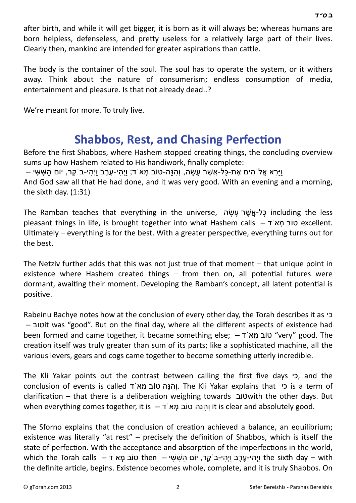after birth, and while it will get bigger, it is born as it will always be; whereas humans are born helpless, defenseless, and pretty useless for a relatively large part of their lives. Clearly then, mankind are intended for greater aspirations than cattle.

The body is the container of the soul. The soul has to operate the system, or it withers away. Think about the nature of consumerism; endless consumption of media, entertainment and pleasure. Is that not already dead..?

We're meant for more. To truly live.

## **[Shabbos, Rest, and Chasing Perfec](http://gtorah.com/2012/08/31/shabbos-rest-and-chasing-perfection/)tion**

Before the first Shabbos, where Hashem stopped creating things, the concluding overview sums up how Hashem related to His handiwork, finally complete:

ּ וִירִא אַלֹ הִים אֶת-כַּל-אֲשֶׁר עַשׂה, וְהִנַּה-טוֹב מְאֹ ד; ווְהִי-עֶרֶב וַיְהִי-בֹ קֶר, יוֹם הַשָּׁשִּׁי – And God saw all that He had done, and it was very good. With an evening and a morning, the sixth day. (1:31)

The Ramban teaches that everything in the universe, כל-אַשׁר עשׂה including the less pleasant things in life, is brought together into what Hashem calls – דֹא ְמ טוֹב excellent. Ultimately – everything is for the best. With a greater perspective, everything turns out for the best.

The Netziv further adds that this was not just true of that moment – that unique point in existence where Hashem created things  $-$  from then on, all potential futures were dormant, awaiting their moment. Developing the Ramban's concept, all latent potential is positive.

Rabeinu Bachye notes how at the conclusion of every other day, the Torah describes it as כי – טובit was "good". But on the final day, where all the different aspects of existence had been formed and came together, it became something else; – דֹא ְמ טוֹב" very" good. The creation itself was truly greater than sum of its parts; like a sophisticated machine, all the various levers, gears and cogs came together to become something utterly incredible.

The Kli Yakar points out the contrast between calling the first five days כי, and the conclusion of events is called דֹא ְמ טוֹב הֵנּ ִהְו. The Kli Yakar explains that כי is a term of clarification – that there is a deliberation weighing towards טוב clarification – that there is a deliberation weighing towards when everything comes together, it is – וְהוּה טוֹב מָא ד $i$  it is clear and absolutely good.

The Sforno explains that the conclusion of creation achieved a balance, an equilibrium; existence was literally "at rest" – precisely the definition of Shabbos, which is itself the state of perfection. With the acceptance and absorption of the imperfections in the world, which the Torah calls – וַיְהִ י-עֶרֶב וַיְהִ י-בֹקֶר, יוֹם הַשִּׁשִׁי – the sixth day – with the definite article, begins. Existence becomes whole, complete, and it is truly Shabbos. On